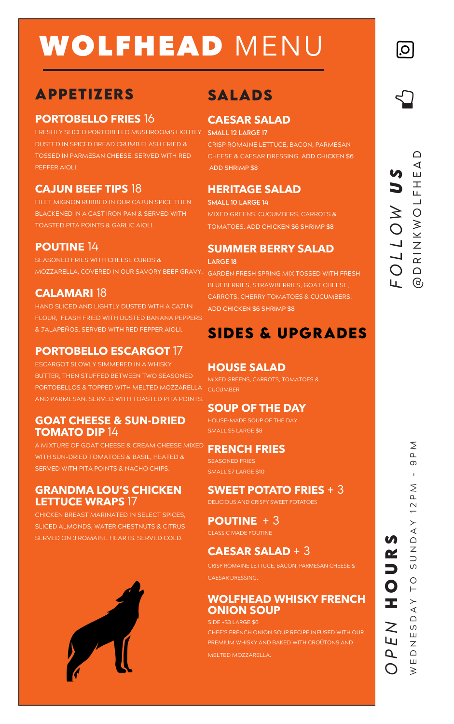# WOLFHEAD MENU

### **APPETIZERS**

#### **PORTOBELLO FRIES** 16

FRESHLY SLICED PORTOBELLO MUSHROOMS LIGHTLY SMALL 12 LARGE 17 DUSTED IN SPICED BREAD CRUMB FLASH FRIED & TOSSED IN PARMESAN CHEESE. SERVED WITH RED PEPPER AIOLI.

### **CAJUN BEEF TIPS** 18

FILET MIGNON RUBBED IN OUR CAJUN SPICE THEN BLACKENED IN A CAST IRON PAN & SERVED WITH TOASTED PITA POINTS & GARLIC AIOLI.

#### **POUTINE** 14

SEASONED FRIES WITH CHEESE CURDS &

#### **CALAMARI** 18

HAND SLICED AND LIGHTLY DUSTED WITH A CAJUN FLOUR, FLASH FRIED WITH DUSTED BANANA PEPPERS & JALAPEÑOS. SERVED WITH RED PEPPER AIOLI.

### **PORTOBELLO ESCARGOT** 17

ESCARGOT SLOWLY SIMMERED IN A WHISKY BUTTER, THEN STUFFED BETWEEN TWO SEASONED PORTOBELLOS & TOPPED WITH MELTED MOZZARELLA AND PARMESAN. SERVED WITH TOASTED PITA POINTS.

#### **GOAT CHEESE & SUN-DRIED TOMATO DIP** 14

A MIXTURE OF GOAT CHEESE & CREAM CHEESE MIXED WITH SUN-DRIED TOMATOES & BASIL, HEATED & SERVED WITH PITA POINTS & NACHO CHIPS.

#### **GRANDMA LOU'S CHICKEN LETTUCE WRAPS** 17

CHICKEN BREAST MARINATED IN SELECT SPICES, SLICED ALMONDS, WATER CHESTNUTS & CITRUS SERVED ON 3 ROMAINE HEARTS. SERVED COLD.



## **SALADS**

#### **CAESAR SALAD**

CRISP ROMAINE LETTUCE, BACON, PARMESAN CHEESE & CAESAR DRESSING. **ADD CHICKEN \$6 ADD SHRIMP \$8**

#### **HERITAGE SALAD**

#### smALL 10 lArgE 14

MIXED GREENS, CUCUMBERS, CARROTS & TOMATOES**. ADD CHICKEN \$6 SHRIMP \$8**

### **SUMMER BERRY SALAD**

#### LARGE 18

MOZZARELLA, COVERED IN OUR SAVORY BEEF GRAVY. GARDEN FRESH SPRING MIX TOSSED WITH FRESH BLUEBERRIES, STRAWBERRIES, GOAT CHEESE, CARROTS, CHERRY TOMATOES & CUCUMBERS. **ADD CHICKEN \$6 SHRIMP \$8**

### **SIDES & UPGRADES**

#### **HOUSE SALAD**

MIXED GREENS, CARROTS, TOMATOES & **CUCUMBER** 

#### **SOUP OF THE DAY**

HOUSE-MADE SOUP OF THE DAY SMALL \$5 LARGE \$8

#### **FRENCH FRIES**

SEASONED FRIES SMALL \$7 LARGE \$10

#### **SWEET POTATO FRIES** + 3

DELICIOUS AND CRISPY SWEET POTATOES

### **POUTINE** + 3

CLASSIC MADE POUTINE

#### **CAESAR SALAD** + 3

CRISP ROMAINE LETTUCE, BACON, PARMESAN CHEESE & CAESAR DRESSING.

#### **WOLFHEAD WHISKY FRENCH ONION SOUP**

SIDE +\$3 LARGE \$6

CHEF'S FRENCH ONION SOUP RECIPE INFUSED WITH OUR PREMIUM WHISKY AND BAKED WITH CROÛTONS AND

MELTED MOZZARELLA.

 $\bigcap$ 

 $|O|$ 

*OPEN* **hours**

E

 $\overline{a}$ 

Ŧ